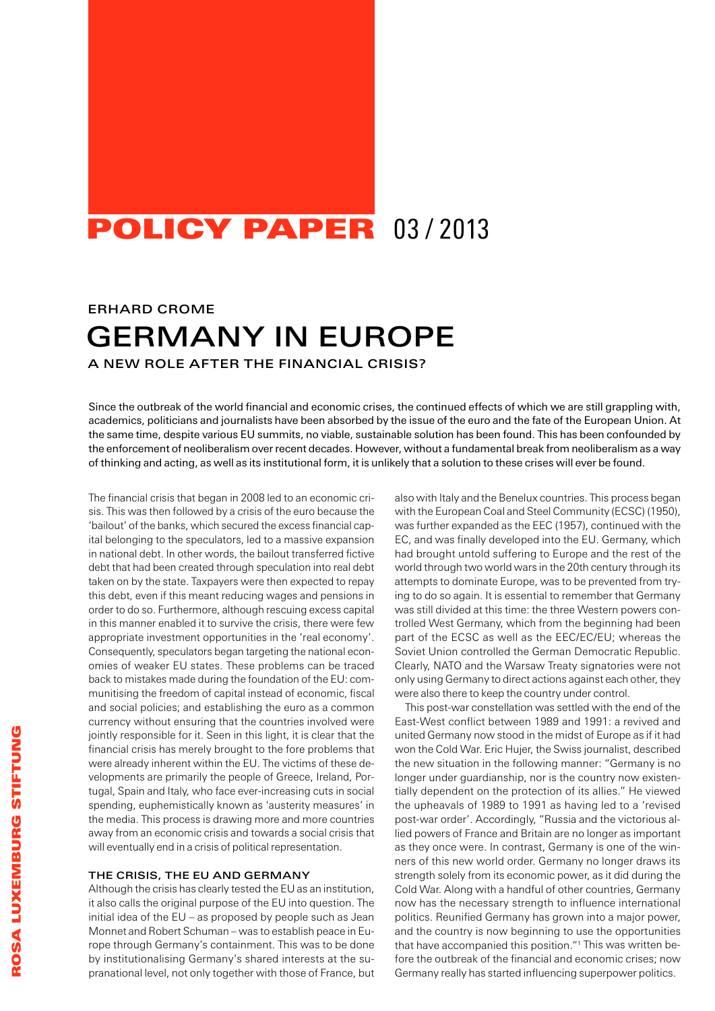## POLICY PAPER 03/2013

### Erhard Crome

# Germany in Europe

A new role after the financial crisis?

Since the outbreak of the world financial and economic crises, the continued effects of which we are still grappling with, academics, politicians and journalists have been absorbed by the issue of the euro and the fate of the European Union. At the same time, despite various EU summits, no viable, sustainable solution has been found. This has been confounded by the enforcement of neoliberalism over recent decades. However, without a fundamental break from neoliberalism as a way of thinking and acting, as well as its institutional form, it is unlikely that a solution to these crises will ever be found.

The financial crisis that began in 2008 led to an economic crisis. This was then followed by a crisis of the euro because the 'bailout' of the banks, which secured the excess financial capital belonging to the speculators, led to a massive expansion in national debt. In other words, the bailout transferred fictive debt that had been created through speculation into real debt taken on by the state. Taxpayers were then expected to repay this debt, even if this meant reducing wages and pensions in order to do so. Furthermore, although rescuing excess capital in this manner enabled it to survive the crisis, there were few appropriate investment opportunities in the 'real economy'. Consequently, speculators began targeting the national economies of weaker EU states. These problems can be traced back to mistakes made during the foundation of the EU: communitising the freedom of capital instead of economic, fiscal and social policies; and establishing the euro as a common currency without ensuring that the countries involved were jointly responsible for it. Seen in this light, it is clear that the financial crisis has merely brought to the fore problems that were already inherent within the EU. The victims of these developments are primarily the people of Greece, Ireland, Portugal, Spain and Italy, who face ever-increasing cuts in social spending, euphemistically known as 'austerity measures' in the media. This process is drawing more and more countries away from an economic crisis and towards a social crisis that will eventually end in a crisis of political representation.

#### The crisis, the EU and Germany

Although the crisis has clearly tested the EU as an institution, it also calls the original purpose of the EU into question. The initial idea of the EU – as proposed by people such as Jean Monnet and Robert Schuman – was to establish peace in Europe through Germany's containment. This was to be done by institutionalising Germany's shared interests at the supranational level, not only together with those of France, but also with Italy and the Benelux countries. This process began with the European Coal and Steel Community (ECSC) (1950), was further expanded as the EEC (1957), continued with the EC, and was finally developed into the EU. Germany, which had brought untold suffering to Europe and the rest of the world through two world wars in the 20th century through its attempts to dominate Europe, was to be prevented from trying to do so again. It is essential to remember that Germany was still divided at this time: the three Western powers controlled West Germany, which from the beginning had been part of the ECSC as well as the EEC/EC/EU; whereas the Soviet Union controlled the German Democratic Republic. Clearly, NATO and the Warsaw Treaty signatories were not only using Germany to direct actions against each other, they were also there to keep the country under control.

This post-war constellation was settled with the end of the East-West conflict between 1989 and 1991: a revived and united Germany now stood in the midst of Europe as if it had won the Cold War. Eric Hujer, the Swiss journalist, described the new situation in the following manner: "Germany is no longer under guardianship, nor is the country now existentially dependent on the protection of its allies." He viewed the upheavals of 1989 to 1991 as having led to a 'revised post-war order'. Accordingly, "Russia and the victorious allied powers of France and Britain are no longer as important as they once were. In contrast, Germany is one of the winners of this new world order. Germany no longer draws its strength solely from its economic power, as it did during the Cold War. Along with a handful of other countries, Germany now has the necessary strength to influence international politics. Reunified Germany has grown into a major power, and the country is now beginning to use the opportunities that have accompanied this position."<sup>1</sup> This was written before the outbreak of the financial and economic crises; now Germany really has started influencing superpower politics.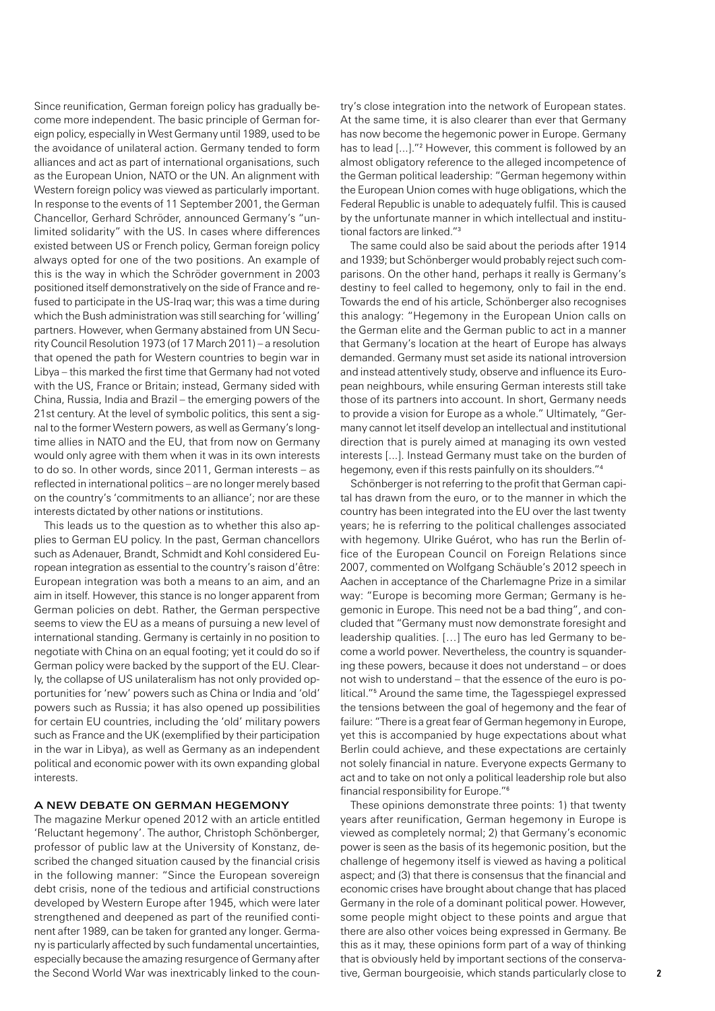Since reunification, German foreign policy has gradually become more independent. The basic principle of German foreign policy, especially in West Germany until 1989, used to be the avoidance of unilateral action. Germany tended to form alliances and act as part of international organisations, such as the European Union, NATO or the UN. An alignment with Western foreign policy was viewed as particularly important. In response to the events of 11 September 2001, the German Chancellor, Gerhard Schröder, announced Germany's "unlimited solidarity" with the US. In cases where differences existed between US or French policy, German foreign policy always opted for one of the two positions. An example of this is the way in which the Schröder government in 2003 positioned itself demonstratively on the side of France and refused to participate in the US-Iraq war; this was a time during which the Bush administration was still searching for 'willing' partners. However, when Germany abstained from UN Security Council Resolution 1973 (of 17 March 2011) – a resolution that opened the path for Western countries to begin war in Libya – this marked the first time that Germany had not voted with the US, France or Britain; instead, Germany sided with China, Russia, India and Brazil – the emerging powers of the 21st century. At the level of symbolic politics, this sent a signal to the former Western powers, as well as Germany's longtime allies in NATO and the EU, that from now on Germany would only agree with them when it was in its own interests to do so. In other words, since 2011, German interests – as reflected in international politics – are no longer merely based on the country's 'commitments to an alliance'; nor are these interests dictated by other nations or institutions.

This leads us to the question as to whether this also applies to German EU policy. In the past, German chancellors such as Adenauer, Brandt, Schmidt and Kohl considered European integration as essential to the country's raison d'être: European integration was both a means to an aim, and an aim in itself. However, this stance is no longer apparent from German policies on debt. Rather, the German perspective seems to view the EU as a means of pursuing a new level of international standing. Germany is certainly in no position to negotiate with China on an equal footing; yet it could do so if German policy were backed by the support of the EU. Clearly, the collapse of US unilateralism has not only provided opportunities for 'new' powers such as China or India and 'old' powers such as Russia; it has also opened up possibilities for certain EU countries, including the 'old' military powers such as France and the UK (exemplified by their participation in the war in Libya), as well as Germany as an independent political and economic power with its own expanding global interests.

#### A new debate on German hegemony

The magazine Merkur opened 2012 with an article entitled 'Reluctant hegemony'. The author, Christoph Schönberger, professor of public law at the University of Konstanz, described the changed situation caused by the financial crisis in the following manner: "Since the European sovereign debt crisis, none of the tedious and artificial constructions developed by Western Europe after 1945, which were later strengthened and deepened as part of the reunified continent after 1989, can be taken for granted any longer. Germany is particularly affected by such fundamental uncertainties, especially because the amazing resurgence of Germany after the Second World War was inextricably linked to the country's close integration into the network of European states. At the same time, it is also clearer than ever that Germany has now become the hegemonic power in Europe. Germany has to lead [...]."<sup>2</sup> However, this comment is followed by an almost obligatory reference to the alleged incompetence of the German political leadership: "German hegemony within the European Union comes with huge obligations, which the Federal Republic is unable to adequately fulfil. This is caused by the unfortunate manner in which intellectual and institutional factors are linked."<sup>3</sup>

The same could also be said about the periods after 1914 and 1939; but Schönberger would probably reject such comparisons. On the other hand, perhaps it really is Germany's destiny to feel called to hegemony, only to fail in the end. Towards the end of his article, Schönberger also recognises this analogy: "Hegemony in the European Union calls on the German elite and the German public to act in a manner that Germany's location at the heart of Europe has always demanded. Germany must set aside its national introversion and instead attentively study, observe and influence its European neighbours, while ensuring German interests still take those of its partners into account. In short, Germany needs to provide a vision for Europe as a whole." Ultimately, "Germany cannot let itself develop an intellectual and institutional direction that is purely aimed at managing its own vested interests [...]. Instead Germany must take on the burden of hegemony, even if this rests painfully on its shoulders."<sup>4</sup>

Schönberger is not referring to the profit that German capital has drawn from the euro, or to the manner in which the country has been integrated into the EU over the last twenty years; he is referring to the political challenges associated with hegemony. Ulrike Guérot, who has run the Berlin office of the European Council on Foreign Relations since 2007, commented on Wolfgang Schäuble's 2012 speech in Aachen in acceptance of the Charlemagne Prize in a similar way: "Europe is becoming more German; Germany is hegemonic in Europe. This need not be a bad thing", and concluded that "Germany must now demonstrate foresight and leadership qualities. […] The euro has led Germany to become a world power. Nevertheless, the country is squandering these powers, because it does not understand – or does not wish to understand – that the essence of the euro is political."<sup>5</sup> Around the same time, the Tagesspiegel expressed the tensions between the goal of hegemony and the fear of failure: "There is a great fear of German hegemony in Europe, yet this is accompanied by huge expectations about what Berlin could achieve, and these expectations are certainly not solely financial in nature. Everyone expects Germany to act and to take on not only a political leadership role but also financial responsibility for Europe."<sup>6</sup>

These opinions demonstrate three points: 1) that twenty years after reunification, German hegemony in Europe is viewed as completely normal; 2) that Germany's economic power is seen as the basis of its hegemonic position, but the challenge of hegemony itself is viewed as having a political aspect; and (3) that there is consensus that the financial and economic crises have brought about change that has placed Germany in the role of a dominant political power. However, some people might object to these points and argue that there are also other voices being expressed in Germany. Be this as it may, these opinions form part of a way of thinking that is obviously held by important sections of the conservative, German bourgeoisie, which stands particularly close to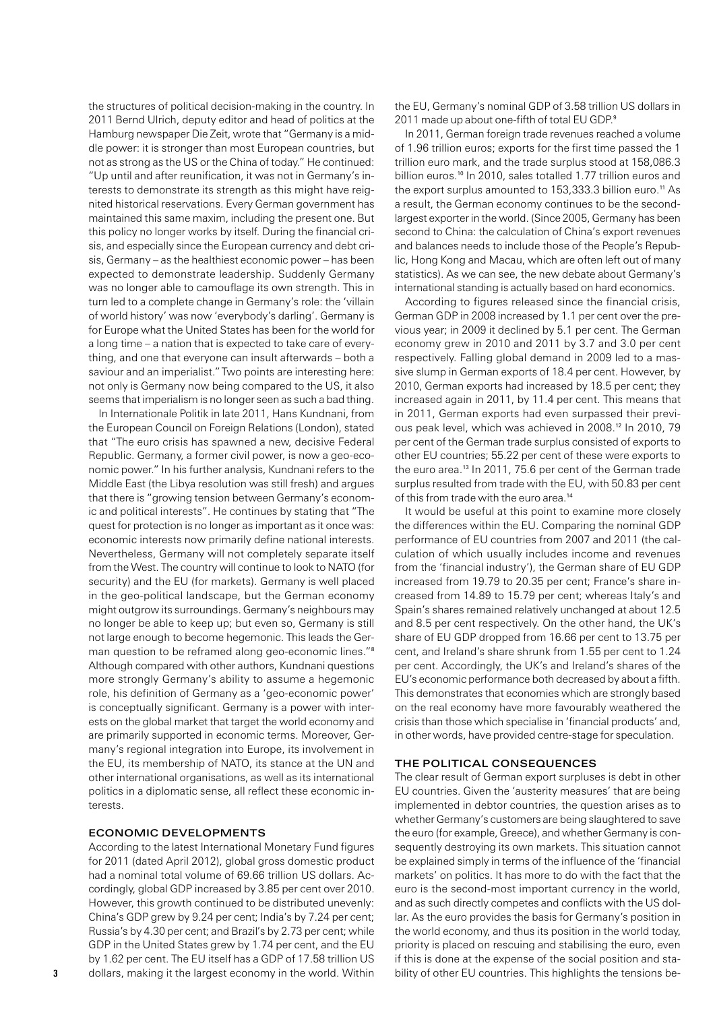the structures of political decision-making in the country. In 2011 Bernd Ulrich, deputy editor and head of politics at the Hamburg newspaper Die Zeit, wrote that "Germany is a middle power: it is stronger than most European countries, but not as strong as the US or the China of today." He continued: "Up until and after reunification, it was not in Germany's interests to demonstrate its strength as this might have reignited historical reservations. Every German government has maintained this same maxim, including the present one. But this policy no longer works by itself. During the financial crisis, and especially since the European currency and debt crisis, Germany – as the healthiest economic power – has been expected to demonstrate leadership. Suddenly Germany was no longer able to camouflage its own strength. This in turn led to a complete change in Germany's role: the 'villain of world history' was now 'everybody's darling'. Germany is for Europe what the United States has been for the world for a long time – a nation that is expected to take care of everything, and one that everyone can insult afterwards – both a saviour and an imperialist."Two points are interesting here: not only is Germany now being compared to the US, it also seems that imperialism is no longer seen as such a bad thing.

In Internationale Politik in late 2011, Hans Kundnani, from the European Council on Foreign Relations (London), stated that "The euro crisis has spawned a new, decisive Federal Republic. Germany, a former civil power, is now a geo-economic power." In his further analysis, Kundnani refers to the Middle East (the Libya resolution was still fresh) and argues that there is "growing tension between Germany's economic and political interests". He continues by stating that "The quest for protection is no longer as important as it once was: economic interests now primarily define national interests. Nevertheless, Germany will not completely separate itself from the West. The country will continue to look to NATO (for security) and the EU (for markets). Germany is well placed in the geo-political landscape, but the German economy might outgrow its surroundings. Germany's neighbours may no longer be able to keep up; but even so, Germany is still not large enough to become hegemonic. This leads the German question to be reframed along geo-economic lines."<sup>8</sup> Although compared with other authors, Kundnani questions more strongly Germany's ability to assume a hegemonic role, his definition of Germany as a 'geo-economic power' is conceptually significant. Germany is a power with interests on the global market that target the world economy and are primarily supported in economic terms. Moreover, Germany's regional integration into Europe, its involvement in the EU, its membership of NATO, its stance at the UN and other international organisations, as well as its international politics in a diplomatic sense, all reflect these economic interests.

#### Economic developments

According to the latest International Monetary Fund figures for 2011 (dated April 2012), global gross domestic product had a nominal total volume of 69.66 trillion US dollars. Accordingly, global GDP increased by 3.85 per cent over 2010. However, this growth continued to be distributed unevenly: China's GDP grew by 9.24 per cent; India's by 7.24 per cent; Russia's by 4.30 per cent; and Brazil's by 2.73 per cent; while GDP in the United States grew by 1.74 per cent, and the EU by 1.62 per cent. The EU itself has a GDP of 17.58 trillion US dollars, making it the largest economy in the world. Within the EU, Germany's nominal GDP of 3.58 trillion US dollars in 2011 made up about one-fifth of total EU GDP<sup>9</sup>

In 2011, German foreign trade revenues reached a volume of 1.96 trillion euros; exports for the first time passed the 1 trillion euro mark, and the trade surplus stood at 158,086.3 billion euros.<sup>10</sup> In 2010, sales totalled 1.77 trillion euros and the export surplus amounted to 153,333.3 billion euro.<sup>11</sup> As a result, the German economy continues to be the secondlargest exporter in the world. (Since 2005, Germany has been second to China: the calculation of China's export revenues and balances needs to include those of the People's Republic, Hong Kong and Macau, which are often left out of many statistics). As we can see, the new debate about Germany's international standing is actually based on hard economics.

According to figures released since the financial crisis, German GDP in 2008 increased by 1.1 per cent over the previous year; in 2009 it declined by 5.1 per cent. The German economy grew in 2010 and 2011 by 3.7 and 3.0 per cent respectively. Falling global demand in 2009 led to a massive slump in German exports of 18.4 per cent. However, by 2010, German exports had increased by 18.5 per cent; they increased again in 2011, by 11.4 per cent. This means that in 2011, German exports had even surpassed their previous peak level, which was achieved in 2008.12 In 2010, 79 per cent of the German trade surplus consisted of exports to other EU countries; 55.22 per cent of these were exports to the euro area.<sup>13</sup> In 2011, 75.6 per cent of the German trade surplus resulted from trade with the EU, with 50.83 per cent of this from trade with the euro area.<sup>14</sup>

It would be useful at this point to examine more closely the differences within the EU. Comparing the nominal GDP performance of EU countries from 2007 and 2011 (the calculation of which usually includes income and revenues from the 'financial industry'), the German share of EU GDP increased from 19.79 to 20.35 per cent; France's share increased from 14.89 to 15.79 per cent; whereas Italy's and Spain's shares remained relatively unchanged at about 12.5 and 8.5 per cent respectively. On the other hand, the UK's share of EU GDP dropped from 16.66 per cent to 13.75 per cent, and Ireland's share shrunk from 1.55 per cent to 1.24 per cent. Accordingly, the UK's and Ireland's shares of the EU's economic performance both decreased by about a fifth. This demonstrates that economies which are strongly based on the real economy have more favourably weathered the crisis than those which specialise in 'financial products' and, in other words, have provided centre-stage for speculation.

#### The political consequences

The clear result of German export surpluses is debt in other EU countries. Given the 'austerity measures' that are being implemented in debtor countries, the question arises as to whether Germany's customers are being slaughtered to save the euro (for example, Greece), and whether Germany is consequently destroying its own markets. This situation cannot be explained simply in terms of the influence of the 'financial markets' on politics. It has more to do with the fact that the euro is the second-most important currency in the world, and as such directly competes and conflicts with the US dollar. As the euro provides the basis for Germany's position in the world economy, and thus its position in the world today, priority is placed on rescuing and stabilising the euro, even if this is done at the expense of the social position and stability of other EU countries. This highlights the tensions be